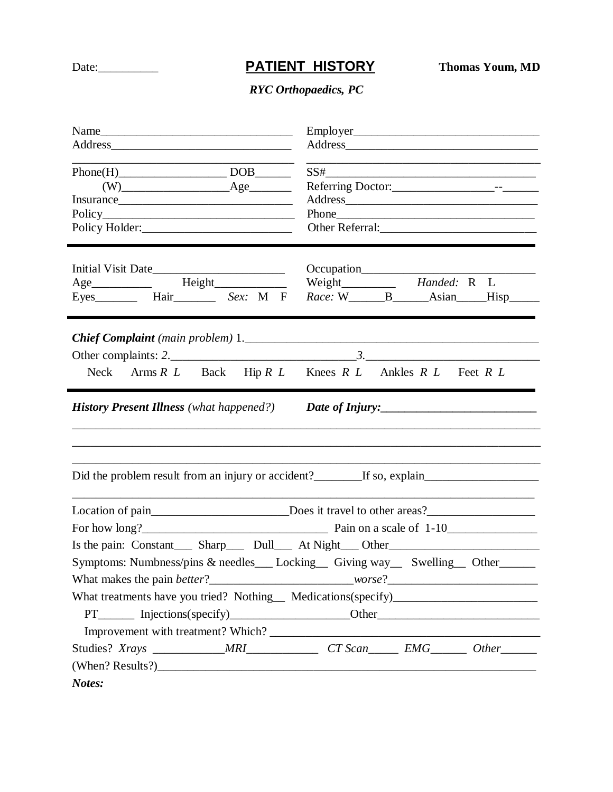## Date: <u>**PATIENT HISTORY Thomas Youm, MD**</u>

## *RYC Orthopaedics, PC*

| $Phone(H)$ DOB<br>$(W)$ $\qquad \qquad \text{Age}$<br>Eyes__________ Hair__________ Sex: M F Race: W______B______Asian____Hisp_______<br>Neck Arms R L Back Hip R L Knees R L Ankles R L Feet R L<br><b>History Present Illness</b> (what happened?)<br>Date of Injury:<br>Did the problem result from an injury or accident?___________If so, explain___________________________________<br>Location of pain_______________________________Does it travel to other areas?_______________________<br>Is the pain: Constant______ Sharp_______ Dull______ At Night____ Other______________________________<br>Symptoms: Numbness/pins & needles___ Locking__ Giving way__ Swelling__ Other_____<br>What treatments have you tried? Nothing_ Medications(specify)____________________<br>PT________ Injections(specify)_______________________Other_______________________ |        |  |  |  |  |  |
|--------------------------------------------------------------------------------------------------------------------------------------------------------------------------------------------------------------------------------------------------------------------------------------------------------------------------------------------------------------------------------------------------------------------------------------------------------------------------------------------------------------------------------------------------------------------------------------------------------------------------------------------------------------------------------------------------------------------------------------------------------------------------------------------------------------------------------------------------------------------------|--------|--|--|--|--|--|
|                                                                                                                                                                                                                                                                                                                                                                                                                                                                                                                                                                                                                                                                                                                                                                                                                                                                          |        |  |  |  |  |  |
|                                                                                                                                                                                                                                                                                                                                                                                                                                                                                                                                                                                                                                                                                                                                                                                                                                                                          |        |  |  |  |  |  |
|                                                                                                                                                                                                                                                                                                                                                                                                                                                                                                                                                                                                                                                                                                                                                                                                                                                                          |        |  |  |  |  |  |
|                                                                                                                                                                                                                                                                                                                                                                                                                                                                                                                                                                                                                                                                                                                                                                                                                                                                          |        |  |  |  |  |  |
|                                                                                                                                                                                                                                                                                                                                                                                                                                                                                                                                                                                                                                                                                                                                                                                                                                                                          |        |  |  |  |  |  |
|                                                                                                                                                                                                                                                                                                                                                                                                                                                                                                                                                                                                                                                                                                                                                                                                                                                                          |        |  |  |  |  |  |
|                                                                                                                                                                                                                                                                                                                                                                                                                                                                                                                                                                                                                                                                                                                                                                                                                                                                          |        |  |  |  |  |  |
|                                                                                                                                                                                                                                                                                                                                                                                                                                                                                                                                                                                                                                                                                                                                                                                                                                                                          |        |  |  |  |  |  |
|                                                                                                                                                                                                                                                                                                                                                                                                                                                                                                                                                                                                                                                                                                                                                                                                                                                                          |        |  |  |  |  |  |
|                                                                                                                                                                                                                                                                                                                                                                                                                                                                                                                                                                                                                                                                                                                                                                                                                                                                          |        |  |  |  |  |  |
|                                                                                                                                                                                                                                                                                                                                                                                                                                                                                                                                                                                                                                                                                                                                                                                                                                                                          |        |  |  |  |  |  |
|                                                                                                                                                                                                                                                                                                                                                                                                                                                                                                                                                                                                                                                                                                                                                                                                                                                                          |        |  |  |  |  |  |
|                                                                                                                                                                                                                                                                                                                                                                                                                                                                                                                                                                                                                                                                                                                                                                                                                                                                          |        |  |  |  |  |  |
|                                                                                                                                                                                                                                                                                                                                                                                                                                                                                                                                                                                                                                                                                                                                                                                                                                                                          |        |  |  |  |  |  |
|                                                                                                                                                                                                                                                                                                                                                                                                                                                                                                                                                                                                                                                                                                                                                                                                                                                                          |        |  |  |  |  |  |
|                                                                                                                                                                                                                                                                                                                                                                                                                                                                                                                                                                                                                                                                                                                                                                                                                                                                          |        |  |  |  |  |  |
|                                                                                                                                                                                                                                                                                                                                                                                                                                                                                                                                                                                                                                                                                                                                                                                                                                                                          |        |  |  |  |  |  |
|                                                                                                                                                                                                                                                                                                                                                                                                                                                                                                                                                                                                                                                                                                                                                                                                                                                                          |        |  |  |  |  |  |
|                                                                                                                                                                                                                                                                                                                                                                                                                                                                                                                                                                                                                                                                                                                                                                                                                                                                          |        |  |  |  |  |  |
|                                                                                                                                                                                                                                                                                                                                                                                                                                                                                                                                                                                                                                                                                                                                                                                                                                                                          |        |  |  |  |  |  |
|                                                                                                                                                                                                                                                                                                                                                                                                                                                                                                                                                                                                                                                                                                                                                                                                                                                                          |        |  |  |  |  |  |
|                                                                                                                                                                                                                                                                                                                                                                                                                                                                                                                                                                                                                                                                                                                                                                                                                                                                          |        |  |  |  |  |  |
|                                                                                                                                                                                                                                                                                                                                                                                                                                                                                                                                                                                                                                                                                                                                                                                                                                                                          |        |  |  |  |  |  |
|                                                                                                                                                                                                                                                                                                                                                                                                                                                                                                                                                                                                                                                                                                                                                                                                                                                                          |        |  |  |  |  |  |
|                                                                                                                                                                                                                                                                                                                                                                                                                                                                                                                                                                                                                                                                                                                                                                                                                                                                          |        |  |  |  |  |  |
|                                                                                                                                                                                                                                                                                                                                                                                                                                                                                                                                                                                                                                                                                                                                                                                                                                                                          | Notes: |  |  |  |  |  |